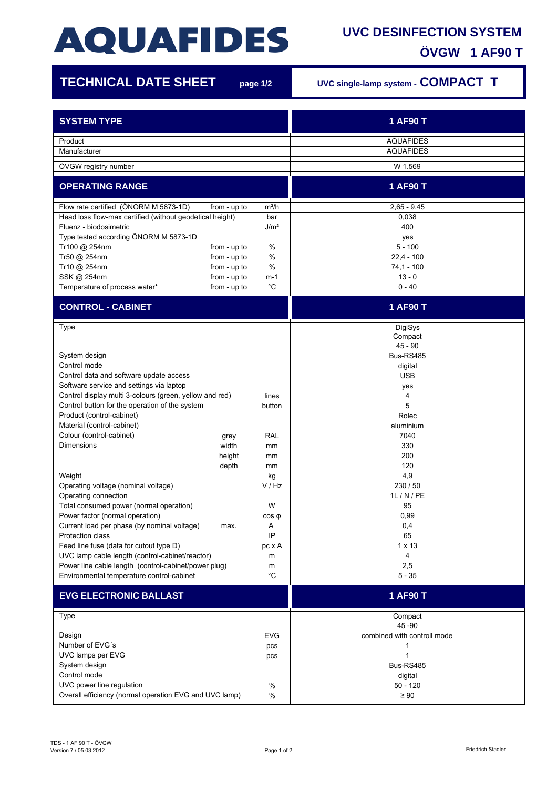## **AQUAFIDES**

## **UVC DESINFECTION SYSTEM ÖVGW 1 AF90 T**

| <b>TECHNICAL DATE SHEET</b>                                     |                              | page 1/2                 | UVC single-lamp system - COMPACT T |
|-----------------------------------------------------------------|------------------------------|--------------------------|------------------------------------|
| <b>SYSTEM TYPE</b>                                              |                              |                          | 1 AF90 T                           |
| Product                                                         |                              |                          | <b>AQUAFIDES</b>                   |
| Manufacturer                                                    |                              |                          | <b>AQUAFIDES</b>                   |
| ÖVGW registry number                                            |                              |                          | W 1.569                            |
| <b>OPERATING RANGE</b>                                          |                              |                          | 1 AF90 T                           |
| Flow rate certified (ÖNORM M 5873-1D)                           | from - up to                 | $m^3/h$                  | $2,65 - 9,45$                      |
| Head loss flow-max certified (without geodetical height)<br>bar |                              |                          | 0,038                              |
| Fluenz - biodosimetric<br>J/m <sup>2</sup>                      |                              |                          | 400                                |
| Type tested according ÖNORM M 5873-1D                           |                              |                          | yes                                |
| Tr100 @ 254nm                                                   | from - up to                 | %                        | $5 - 100$                          |
| Tr50 @ 254nm                                                    | from - up to                 | $\%$                     | $22,4 - 100$                       |
| Tr10 @ 254nm                                                    | from - up to                 | $\%$                     | $74,1 - 100$<br>$13 - 0$           |
| SSK @ 254nm<br>Temperature of process water*                    | from - up to<br>from - up to | m-1<br>$^{\circ}{\rm C}$ | $0 - 40$                           |
|                                                                 |                              |                          |                                    |
| <b>CONTROL - CABINET</b>                                        |                              |                          | 1 AF90 T                           |
| Type                                                            |                              |                          | DigiSys                            |
|                                                                 |                              |                          | Compact                            |
|                                                                 |                              |                          | $45 - 90$                          |
| System design                                                   |                              |                          | Bus-RS485                          |
| Control mode<br>Control data and software update access         |                              |                          | digital                            |
| Software service and settings via laptop                        |                              |                          | <b>USB</b><br>yes                  |
| Control display multi 3-colours (green, yellow and red)         |                              | lines                    | 4                                  |
| Control button for the operation of the system                  |                              | button                   | 5                                  |
| Product (control-cabinet)                                       |                              |                          | Rolec                              |
| Material (control-cabinet)                                      |                              |                          | aluminium                          |
| Colour (control-cabinet)                                        | grey                         | <b>RAL</b>               | 7040                               |
| <b>Dimensions</b>                                               | width                        | mm                       | 330                                |
|                                                                 | height                       | mm                       | 200                                |
|                                                                 | depth                        | mm                       | 120                                |
| Weight                                                          |                              | kg                       | 4,9                                |
| Operating voltage (nominal voltage)                             |                              | V / Hz                   | 230 / 50                           |
| Operating connection<br>Total consumed power (normal operation) |                              | W                        | 1L / N / PE<br>95                  |
| Power factor (normal operation)                                 |                              | $cos \phi$               | 0,99                               |
| Current load per phase (by nominal voltage)                     | max.                         | Α                        | 0,4                                |
| Protection class                                                |                              | IP                       | 65                                 |
| Feed line fuse (data for cutout type D)<br>pc x A               |                              |                          | $1 \times 13$                      |
| UVC lamp cable length (control-cabinet/reactor)<br>m            |                              |                          | 4                                  |
| Power line cable length (control-cabinet/power plug)<br>m       |                              | 2,5                      |                                    |
| Environmental temperature control-cabinet                       |                              | $^{\circ}C$              | $5 - 35$                           |
| <b>EVG ELECTRONIC BALLAST</b>                                   |                              |                          | 1 AF90 T                           |
| Type                                                            |                              |                          | Compact                            |
|                                                                 |                              |                          | 45 - 90                            |
| Design<br><b>EVG</b><br>Number of EVG's                         |                              |                          | combined with controll mode<br>1   |
| pcs<br>UVC lamps per EVG                                        |                              |                          | $\mathbf{1}$                       |
| pcs<br>System design                                            |                              |                          | Bus-RS485                          |
| Control mode                                                    |                              |                          | digital                            |
| UVC power line regulation<br>%                                  |                              |                          | $50 - 120$                         |
| Overall efficiency (normal operation EVG and UVC lamp)<br>$\%$  |                              |                          | $\geq 90$                          |
|                                                                 |                              |                          |                                    |